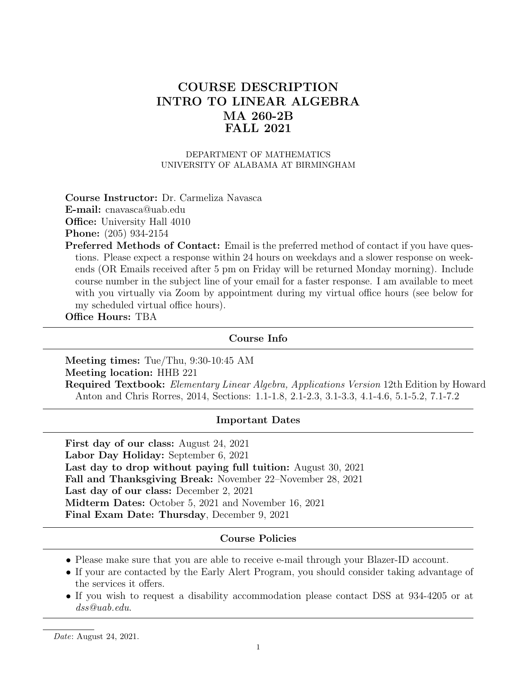# COURSE DESCRIPTION INTRO TO LINEAR ALGEBRA MA 260-2B FALL 2021

#### DEPARTMENT OF MATHEMATICS UNIVERSITY OF ALABAMA AT BIRMINGHAM

Course Instructor: Dr. Carmeliza Navasca

E-mail: cnavasca@uab.edu

**Office:** University Hall 4010

Phone: (205) 934-2154

Preferred Methods of Contact: Email is the preferred method of contact if you have questions. Please expect a response within 24 hours on weekdays and a slower response on weekends (OR Emails received after 5 pm on Friday will be returned Monday morning). Include course number in the subject line of your email for a faster response. I am available to meet with you virtually via Zoom by appointment during my virtual office hours (see below for my scheduled virtual office hours).

Office Hours: TBA

#### Course Info

Meeting times: Tue/Thu, 9:30-10:45 AM Meeting location: HHB 221

Required Textbook: Elementary Linear Algebra, Applications Version 12th Edition by Howard Anton and Chris Rorres, 2014, Sections: 1.1-1.8, 2.1-2.3, 3.1-3.3, 4.1-4.6, 5.1-5.2, 7.1-7.2

#### Important Dates

First day of our class: August 24, 2021 Labor Day Holiday: September 6, 2021 Last day to drop without paying full tuition: August 30, 2021 Fall and Thanksgiving Break: November 22–November 28, 2021 Last day of our class: December 2, 2021 Midterm Dates: October 5, 2021 and November 16, 2021 Final Exam Date: Thursday, December 9, 2021

#### Course Policies

- Please make sure that you are able to receive e-mail through your Blazer-ID account.
- If your are contacted by the Early Alert Program, you should consider taking advantage of the services it offers.
- If you wish to request a disability accommodation please contact DSS at 934-4205 or at dss@uab.edu.

Date: August 24, 2021.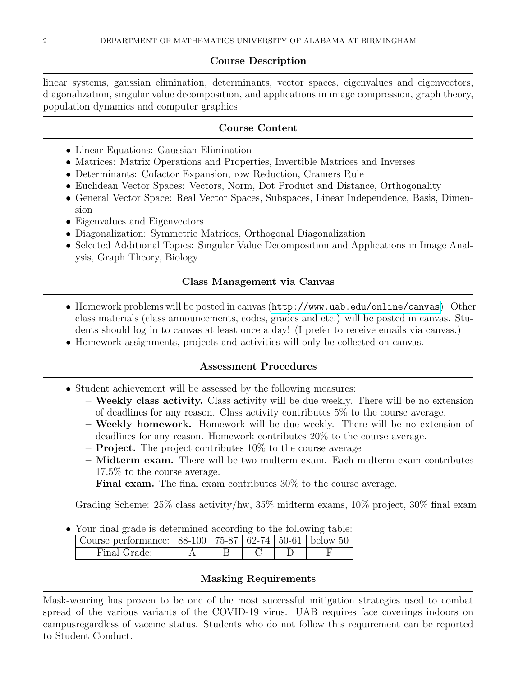# Course Description

linear systems, gaussian elimination, determinants, vector spaces, eigenvalues and eigenvectors, diagonalization, singular value decomposition, and applications in image compression, graph theory, population dynamics and computer graphics

### Course Content

- Linear Equations: Gaussian Elimination
- Matrices: Matrix Operations and Properties, Invertible Matrices and Inverses
- Determinants: Cofactor Expansion, row Reduction, Cramers Rule
- Euclidean Vector Spaces: Vectors, Norm, Dot Product and Distance, Orthogonality
- General Vector Space: Real Vector Spaces, Subspaces, Linear Independence, Basis, Dimension
- Eigenvalues and Eigenvectors
- Diagonalization: Symmetric Matrices, Orthogonal Diagonalization
- Selected Additional Topics: Singular Value Decomposition and Applications in Image Analysis, Graph Theory, Biology

### Class Management via Canvas

- Homework problems will be posted in canvas (<http://www.uab.edu/online/canvas>). Other class materials (class announcements, codes, grades and etc.) will be posted in canvas. Students should log in to canvas at least once a day! (I prefer to receive emails via canvas.)
- Homework assignments, projects and activities will only be collected on canvas.

## Assessment Procedures

- Student achievement will be assessed by the following measures:
	- Weekly class activity. Class activity will be due weekly. There will be no extension of deadlines for any reason. Class activity contributes 5% to the course average.
	- Weekly homework. Homework will be due weekly. There will be no extension of deadlines for any reason. Homework contributes 20% to the course average.
	- $-$  **Project.** The project contributes 10\% to the course average
	- Midterm exam. There will be two midterm exam. Each midterm exam contributes 17.5% to the course average.
	- $-$  **Final exam.** The final exam contributes  $30\%$  to the course average.

Grading Scheme: 25% class activity/hw, 35% midterm exams, 10% project, 30% final exam

• Your final grade is determined according to the following table:

| Course performance:   88-100   75-87   62-74   50-61   below 50 |  |  |  |  |  |
|-----------------------------------------------------------------|--|--|--|--|--|
| Final Grade:                                                    |  |  |  |  |  |

## Masking Requirements

Mask-wearing has proven to be one of the most successful mitigation strategies used to combat spread of the various variants of the COVID-19 virus. UAB requires face coverings indoors on campusregardless of vaccine status. Students who do not follow this requirement can be reported to Student Conduct.